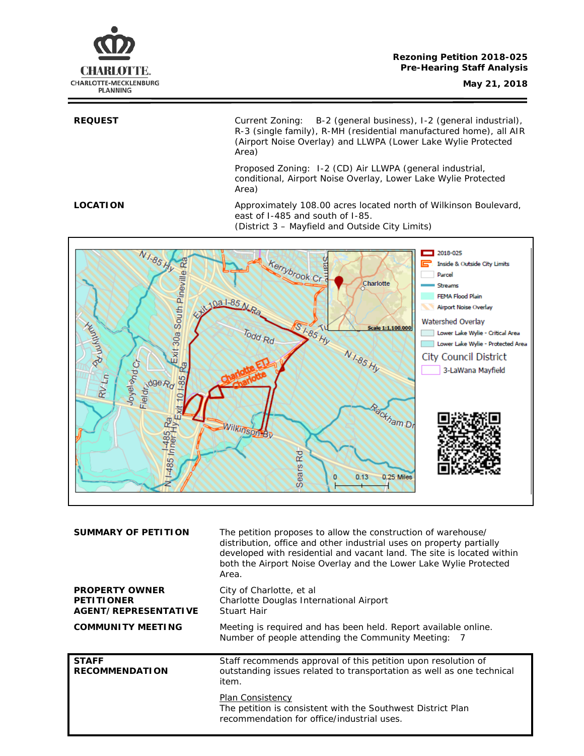

# **Rezoning Petition 2018-025 Pre-Hearing Staff Analysis**

**REQUEST** Current Zoning: B-2 (general business), I-2 (general industrial), R-3 (single family), R-MH (residential manufactured home), all AIR (Airport Noise Overlay) and LLWPA (Lower Lake Wylie Protected Area)

> Proposed Zoning: I-2 (CD) Air LLWPA (general industrial, conditional, Airport Noise Overlay, Lower Lake Wylie Protected Area)

**LOCATION** Approximately 108.00 acres located north of Wilkinson Boulevard, east of I-485 and south of I-85.

(District 3 – Mayfield and Outside City Limits)  $N$ 1-85 H  $\Box$  2018-025 Exit 30a South Pineville Ra **Kerrybrook Crack** Inside & Outside City Limits ⋿ Parcel Charlotte Streams FEMA Flood Plain 10a 1-85 M Airport Noise Overlay **POLIUMERS** Watershed Overlay SI-85 HV Scale 1:1,100,000 Todd Rd Lower Lake Wylie - Critical Area Lower Lake Wylie - Protected Area N1-85 Hy Joyeland Cr City Council District **Eleidischer Here** æ 3-LaWana Mayfield RVLn Exit 101-85 Rackham Dr Ra Wilkinson Êυ -485 Inner Sears<sub>Rd</sub>  $0.13$ 0.25 Miles  $\overline{0}$ 

| <b>SUMMARY OF PETITION</b>                                                | The petition proposes to allow the construction of warehouse/<br>distribution, office and other industrial uses on property partially<br>developed with residential and vacant land. The site is located within<br>both the Airport Noise Overlay and the Lower Lake Wylie Protected<br>Area. |
|---------------------------------------------------------------------------|-----------------------------------------------------------------------------------------------------------------------------------------------------------------------------------------------------------------------------------------------------------------------------------------------|
| <b>PROPERTY OWNER</b><br><b>PETITIONER</b><br><b>AGENT/REPRESENTATIVE</b> | City of Charlotte, et al<br>Charlotte Douglas International Airport<br>Stuart Hair                                                                                                                                                                                                            |
| <b>COMMUNITY MEETING</b>                                                  | Meeting is required and has been held. Report available online.<br>Number of people attending the Community Meeting: 7                                                                                                                                                                        |
| <b>STAFF</b><br><b>RECOMMENDATION</b>                                     | Staff recommends approval of this petition upon resolution of                                                                                                                                                                                                                                 |
|                                                                           | outstanding issues related to transportation as well as one technical<br>item.                                                                                                                                                                                                                |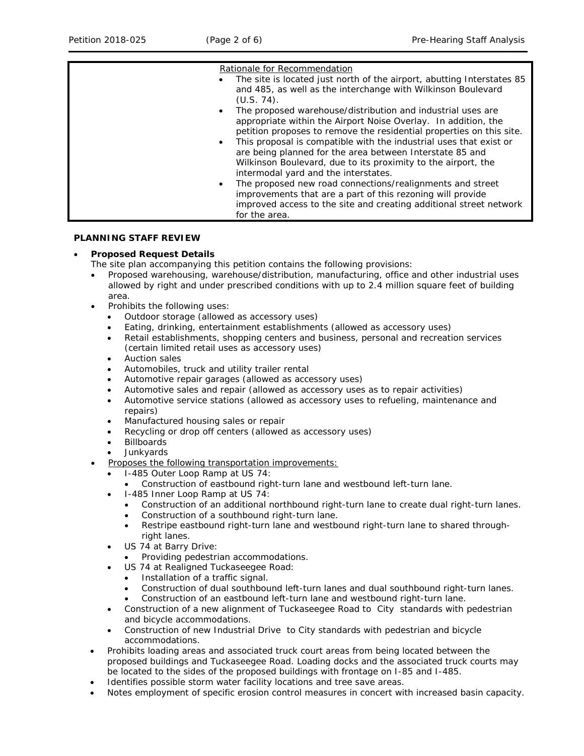| $\bullet$ | Rationale for Recommendation<br>The site is located just north of the airport, abutting Interstates 85<br>and 485, as well as the interchange with Wilkinson Boulevard<br>$(U.S. 74)$ .<br>The proposed warehouse/distribution and industrial uses are<br>appropriate within the Airport Noise Overlay. In addition, the<br>petition proposes to remove the residential properties on this site.<br>This proposal is compatible with the industrial uses that exist or<br>are being planned for the area between Interstate 85 and<br>Wilkinson Boulevard, due to its proximity to the airport, the |
|-----------|-----------------------------------------------------------------------------------------------------------------------------------------------------------------------------------------------------------------------------------------------------------------------------------------------------------------------------------------------------------------------------------------------------------------------------------------------------------------------------------------------------------------------------------------------------------------------------------------------------|
|           | intermodal yard and the interstates.                                                                                                                                                                                                                                                                                                                                                                                                                                                                                                                                                                |
|           | The proposed new road connections/realignments and street<br>improvements that are a part of this rezoning will provide<br>improved access to the site and creating additional street network<br>for the area.                                                                                                                                                                                                                                                                                                                                                                                      |

# **PLANNING STAFF REVIEW**

# • **Proposed Request Details**

- The site plan accompanying this petition contains the following provisions:
	- Proposed warehousing, warehouse/distribution, manufacturing, office and other industrial uses allowed by right and under prescribed conditions with up to 2.4 million square feet of building area.
	- Prohibits the following uses:
		- Outdoor storage (allowed as accessory uses)
		- Eating, drinking, entertainment establishments (allowed as accessory uses)
		- Retail establishments, shopping centers and business, personal and recreation services (certain limited retail uses as accessory uses)
		- Auction sales
		- Automobiles, truck and utility trailer rental
		- Automotive repair garages (allowed as accessory uses)
		- Automotive sales and repair (allowed as accessory uses as to repair activities)
		- Automotive service stations (allowed as accessory uses to refueling, maintenance and repairs)
		- Manufactured housing sales or repair
		- Recycling or drop off centers (allowed as accessory uses)
		- **Billboards**
		- Junkyards
- Proposes the following transportation improvements:
	- I-485 Outer Loop Ramp at US 74:
		- Construction of eastbound right-turn lane and westbound left-turn lane.
	- I-485 Inner Loop Ramp at US 74:
		- Construction of an additional northbound right-turn lane to create dual right-turn lanes.
		- Construction of a southbound right-turn lane.
		- Restripe eastbound right-turn lane and westbound right-turn lane to shared throughright lanes.
		- US 74 at Barry Drive:
		- Providing pedestrian accommodations.
		- US 74 at Realigned Tuckaseegee Road:
		- Installation of a traffic signal.
		- Construction of dual southbound left-turn lanes and dual southbound right-turn lanes.
		- Construction of an eastbound left-turn lane and westbound right-turn lane.
	- Construction of a new alignment of Tuckaseegee Road to City standards with pedestrian and bicycle accommodations.
	- Construction of new Industrial Drive to City standards with pedestrian and bicycle accommodations.
- Prohibits loading areas and associated truck court areas from being located between the proposed buildings and Tuckaseegee Road. Loading docks and the associated truck courts may be located to the sides of the proposed buildings with frontage on I-85 and I-485.
- Identifies possible storm water facility locations and tree save areas.
- Notes employment of specific erosion control measures in concert with increased basin capacity.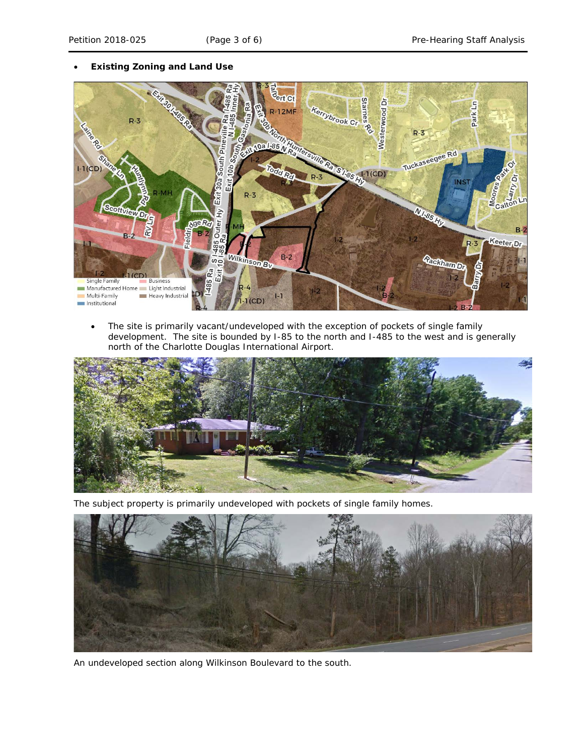# • **Existing Zoning and Land Use**



• The site is primarily vacant/undeveloped with the exception of pockets of single family development. The site is bounded by I-85 to the north and I-485 to the west and is generally north of the Charlotte Douglas International Airport.



The subject property is primarily undeveloped with pockets of single family homes.



An undeveloped section along Wilkinson Boulevard to the south.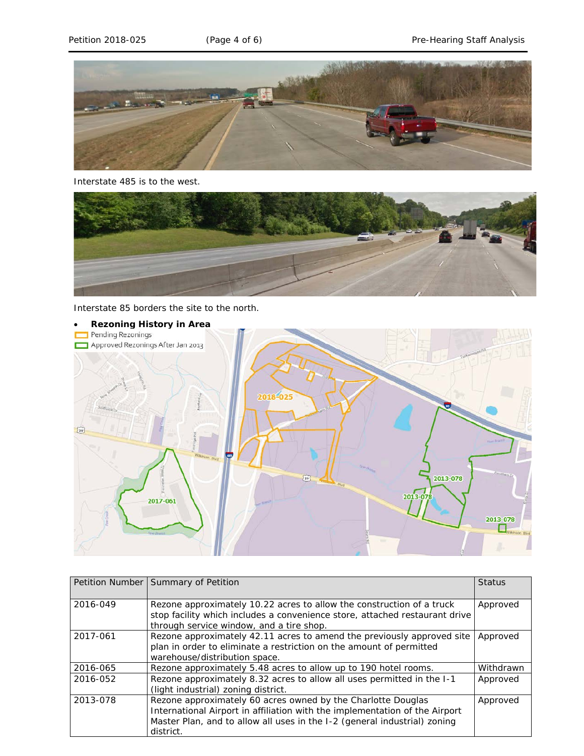

Interstate 485 is to the west.



Interstate 85 borders the site to the north.



|          | Petition Number Summary of Petition                                                                                                                                                                                                   | <b>Status</b> |
|----------|---------------------------------------------------------------------------------------------------------------------------------------------------------------------------------------------------------------------------------------|---------------|
| 2016-049 | Rezone approximately 10.22 acres to allow the construction of a truck<br>stop facility which includes a convenience store, attached restaurant drive<br>through service window, and a tire shop.                                      | Approved      |
| 2017-061 | Rezone approximately 42.11 acres to amend the previously approved site<br>plan in order to eliminate a restriction on the amount of permitted<br>warehouse/distribution space.                                                        | Approved      |
| 2016-065 | Rezone approximately 5.48 acres to allow up to 190 hotel rooms.                                                                                                                                                                       | Withdrawn     |
| 2016-052 | Rezone approximately 8.32 acres to allow all uses permitted in the I-1<br>(light industrial) zoning district.                                                                                                                         | Approved      |
| 2013-078 | Rezone approximately 60 acres owned by the Charlotte Douglas<br>International Airport in affiliation with the implementation of the Airport<br>Master Plan, and to allow all uses in the I-2 (general industrial) zoning<br>district. | Approved      |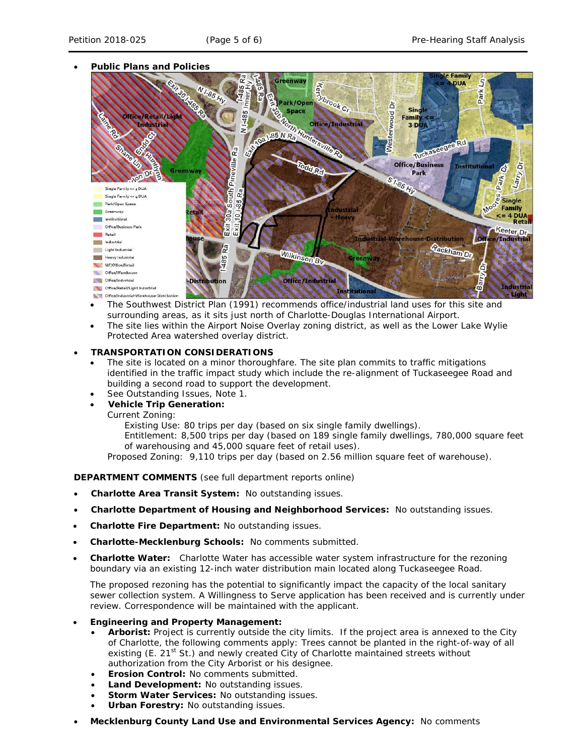# • **Public Plans and Policies**



- The *Southwest District Plan* (1991) recommends office/industrial land uses for this site and surrounding areas, as it sits just north of Charlotte-Douglas International Airport.
- The site lies within the Airport Noise Overlay zoning district, as well as the Lower Lake Wylie Protected Area watershed overlay district.

### • **TRANSPORTATION CONSIDERATIONS**

- The site is located on a minor thoroughfare. The site plan commits to traffic mitigations identified in the traffic impact study which include the re-alignment of Tuckaseegee Road and building a second road to support the development.
- See Outstanding Issues, Note 1.
- **Vehicle Trip Generation:**

Current Zoning:

Existing Use: 80 trips per day (based on six single family dwellings).

Entitlement: 8,500 trips per day (based on 189 single family dwellings, 780,000 square feet of warehousing and 45,000 square feet of retail uses).

Proposed Zoning: 9,110 trips per day (based on 2.56 million square feet of warehouse).

**DEPARTMENT COMMENTS** (see full department reports online)

- **Charlotte Area Transit System:** No outstanding issues.
- **Charlotte Department of Housing and Neighborhood Services:** No outstanding issues.
- **Charlotte Fire Department:** No outstanding issues.
- **Charlotte-Mecklenburg Schools:** No comments submitted.
- **Charlotte Water:** Charlotte Water has accessible water system infrastructure for the rezoning boundary via an existing 12-inch water distribution main located along Tuckaseegee Road.

The proposed rezoning has the potential to significantly impact the capacity of the local sanitary sewer collection system. A Willingness to Serve application has been received and is currently under review. Correspondence will be maintained with the applicant.

- **Engineering and Property Management:**
	- **Arborist:** Project is currently outside the city limits. If the project area is annexed to the City of Charlotte, the following comments apply: Trees cannot be planted in the right-of-way of all existing (E.  $21^{st}$  St.) and newly created City of Charlotte maintained streets without authorization from the City Arborist or his designee.
	- **Erosion Control:** No comments submitted.
	- **Land Development:** No outstanding issues.
	- **Storm Water Services: No outstanding issues.**
	- **Urban Forestry:** No outstanding issues.
- **Mecklenburg County Land Use and Environmental Services Agency:** No comments